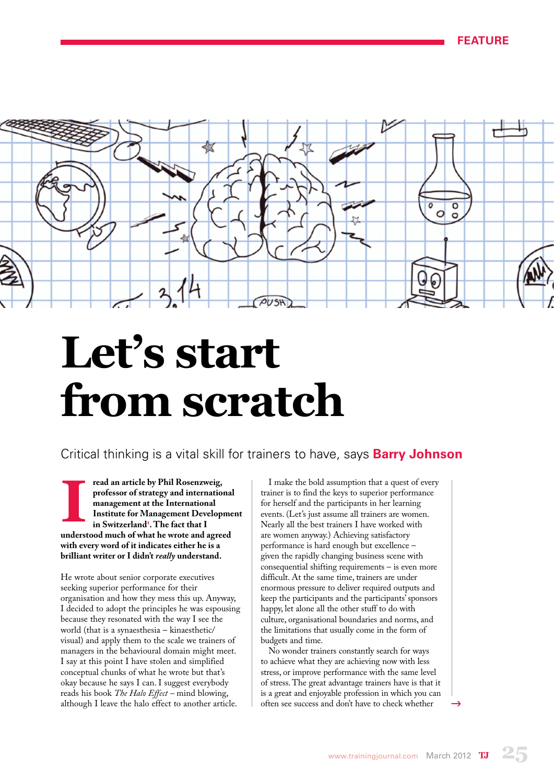

# **Let's start from scratch**

Critical thinking is a vital skill for trainers to have, says **Barry Johnson**

read an article by Phil Rosenzweig,<br>professor of strategy and internation<br>management at the International<br>Institute for Management Develop<br>in Switzerland<sup>1</sup>. The fact that I **professor of strategy and international management at the International Institute for Management Development in Switzerland<sup>1</sup> . The fact that I understood much of what he wrote and agreed with every word of it indicates either he is a brilliant writer or I didn't** *really* **understand.**

He wrote about senior corporate executives seeking superior performance for their organisation and how they mess this up. Anyway, I decided to adopt the principles he was espousing because they resonated with the way I see the world (that is a synaesthesia – kinaesthetic/ visual) and apply them to the scale we trainers of managers in the behavioural domain might meet. I say at this point I have stolen and simplified conceptual chunks of what he wrote but that's okay because he says I can. I suggest everybody reads his book *The Halo Effect –* mind blowing, although I leave the halo effect to another article.

I make the bold assumption that a quest of every trainer is to find the keys to superior performance for herself and the participants in her learning events. (Let's just assume all trainers are women. Nearly all the best trainers I have worked with are women anyway.) Achieving satisfactory performance is hard enough but excellence – given the rapidly changing business scene with consequential shifting requirements – is even more difficult. At the same time, trainers are under enormous pressure to deliver required outputs and keep the participants and the participants' sponsors happy, let alone all the other stuff to do with culture, organisational boundaries and norms, and the limitations that usually come in the form of budgets and time.

No wonder trainers constantly search for ways to achieve what they are achieving now with less stress, or improve performance with the same level of stress. The great advantage trainers have is that it is a great and enjoyable profession in which you can often see success and don't have to check whether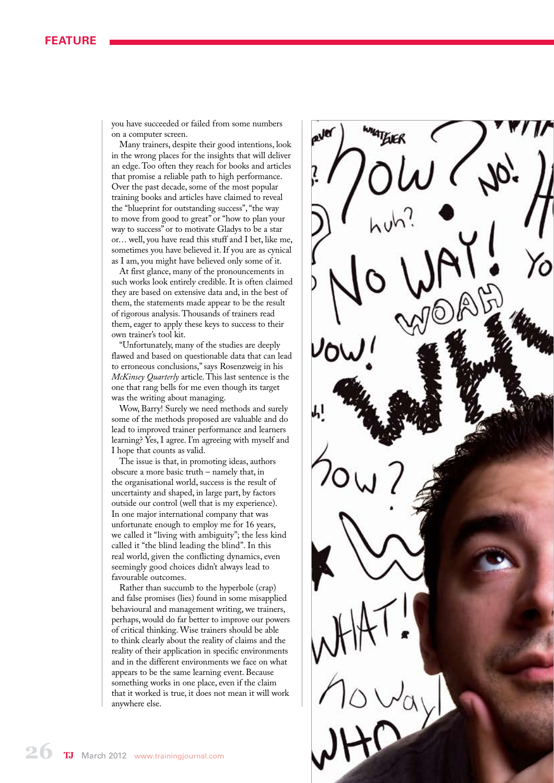#### **Feature**

you have succeeded or failed from some numbers on a computer screen.

Many trainers, despite their good intentions, look in the wrong places for the insights that will deliver an edge. Too often they reach for books and articles that promise a reliable path to high performance. Over the past decade, some of the most popular training books and articles have claimed to reveal the "blueprint for outstanding success", "the way to move from good to great" or "how to plan your way to success" or to motivate Gladys to be a star or… well, you have read this stuff and I bet, like me, sometimes you have believed it. If you are as cynical as I am, you might have believed only some of it.

At first glance, many of the pronouncements in such works look entirely credible. It is often claimed they are based on extensive data and, in the best of them, the statements made appear to be the result of rigorous analysis. Thousands of trainers read them, eager to apply these keys to success to their own trainer's tool kit.

"Unfortunately, many of the studies are deeply flawed and based on questionable data that can lead to erroneous conclusions," says Rosenzweig in his *McKinsey Quarterly* article. This last sentence is the one that rang bells for me even though its target was the writing about managing.

Wow, Barry! Surely we need methods and surely some of the methods proposed are valuable and do lead to improved trainer performance and learners learning? Yes, I agree. I'm agreeing with myself and I hope that counts as valid.

The issue is that, in promoting ideas, authors obscure a more basic truth – namely that, in the organisational world, success is the result of uncertainty and shaped, in large part, by factors outside our control (well that is my experience). In one major international company that was unfortunate enough to employ me for 16 years, we called it "living with ambiguity"; the less kind called it "the blind leading the blind". In this real world, given the conflicting dynamics, even seemingly good choices didn't always lead to favourable outcomes.

Rather than succumb to the hyperbole (crap) and false promises (lies) found in some misapplied behavioural and management writing, we trainers, perhaps, would do far better to improve our powers of critical thinking. Wise trainers should be able to think clearly about the reality of claims and the reality of their application in specific environments and in the different environments we face on what appears to be the same learning event. Because something works in one place, even if the claim that it worked is true, it does not mean it will work anywhere else.

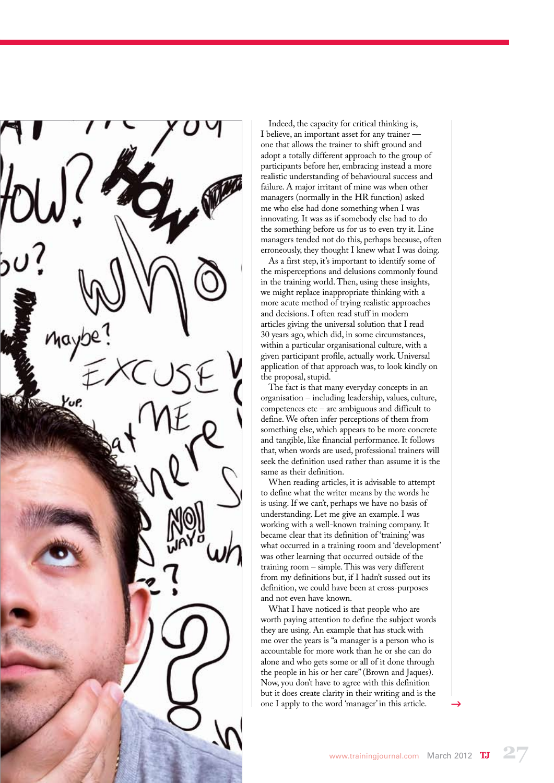Indeed, the capacity for critical thinking is, I believe, an important asset for any trainer one that allows the trainer to shift ground and adopt a totally different approach to the group of participants before her, embracing instead a more realistic understanding of behavioural success and failure. A major irritant of mine was when other managers (normally in the HR function) asked me who else had done something when I was innovating. It was as if somebody else had to do the something before us for us to even try it. Line managers tended not do this, perhaps because, often erroneously, they thought I knew what I was doing.

As a first step, it's important to identify some of the misperceptions and delusions commonly found in the training world. Then, using these insights, we might replace inappropriate thinking with a more acute method of trying realistic approaches and decisions. I often read stuff in modern articles giving the universal solution that I read 30 years ago, which did, in some circumstances, within a particular organisational culture, with a given participant profile, actually work. Universal application of that approach was, to look kindly on the proposal, stupid.

The fact is that many everyday concepts in an organisation – including leadership, values, culture, competences etc – are ambiguous and difficult to define. We often infer perceptions of them from something else, which appears to be more concrete and tangible, like financial performance. It follows that, when words are used, professional trainers will seek the definition used rather than assume it is the same as their definition.

When reading articles, it is advisable to attempt to define what the writer means by the words he is using. If we can't, perhaps we have no basis of understanding. Let me give an example. I was working with a well-known training company. It became clear that its definition of 'training' was what occurred in a training room and 'development' was other learning that occurred outside of the training room – simple. This was very different from my definitions but, if I hadn't sussed out its definition, we could have been at cross-purposes and not even have known.

What I have noticed is that people who are worth paying attention to define the subject words they are using. An example that has stuck with me over the years is "a manager is a person who is accountable for more work than he or she can do alone and who gets some or all of it done through the people in his or her care" (Brown and Jaques). Now, you don't have to agree with this definition but it does create clarity in their writing and is the one I apply to the word 'manager' in this article.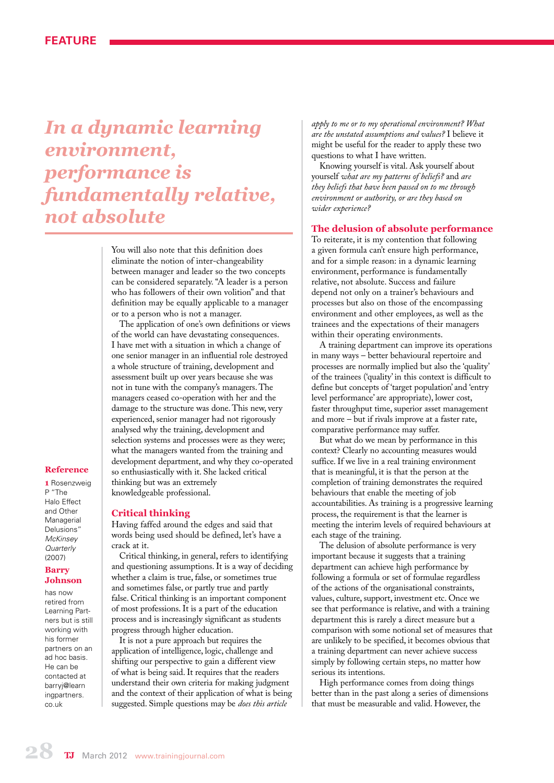## *In a dynamic learning environment, performance is fundamentally relative, not absolute*

You will also note that this definition does eliminate the notion of inter-changeability between manager and leader so the two concepts can be considered separately. "A leader is a person who has followers of their own volition" and that definition may be equally applicable to a manager or to a person who is not a manager.

The application of one's own definitions or views of the world can have devastating consequences. I have met with a situation in which a change of one senior manager in an influential role destroyed a whole structure of training, development and assessment built up over years because she was not in tune with the company's managers. The managers ceased co-operation with her and the damage to the structure was done. This new, very experienced, senior manager had not rigorously analysed why the training, development and selection systems and processes were as they were; what the managers wanted from the training and development department, and why they co-operated so enthusiastically with it. She lacked critical thinking but was an extremely knowledgeable professional.

#### **Reference**

**1** Rosenzweig P "The Halo Effect and Other Managerial Delusions" *McKinsey Quarterly* (2007)

#### **Barry Johnson**

has now retired from Learning Partners but is still working with his former partners on an ad hoc basis. He can be contacted at barryj@learn *ingpartners* co.uk

#### **Critical thinking**

Having faffed around the edges and said that words being used should be defined, let's have a crack at it.

Critical thinking, in general, refers to identifying and questioning assumptions. It is a way of deciding whether a claim is true, false, or sometimes true and sometimes false, or partly true and partly false. Critical thinking is an important component of most professions. It is a part of the education process and is increasingly significant as students progress through higher education.

It is not a pure approach but requires the application of intelligence, logic, challenge and shifting our perspective to gain a different view of what is being said. It requires that the readers understand their own criteria for making judgment and the context of their application of what is being suggested. Simple questions may be *does this article* 

*apply to me or to my operational environment? What are the unstated assumptions and values?* I believe it might be useful for the reader to apply these two questions to what I have written.

Knowing yourself is vital. Ask yourself about yourself *what are my patterns of beliefs?* and *are they beliefs that have been passed on to me through environment or authority, or are they based on wider experience?*

#### **The delusion of absolute performance**

To reiterate, it is my contention that following a given formula can't ensure high performance, and for a simple reason: in a dynamic learning environment, performance is fundamentally relative, not absolute. Success and failure depend not only on a trainer's behaviours and processes but also on those of the encompassing environment and other employees, as well as the trainees and the expectations of their managers within their operating environments.

A training department can improve its operations in many ways – better behavioural repertoire and processes are normally implied but also the 'quality' of the trainees ('quality' in this context is difficult to define but concepts of 'target population' and 'entry level performance' are appropriate), lower cost, faster throughput time, superior asset management and more – but if rivals improve at a faster rate, comparative performance may suffer.

But what do we mean by performance in this context? Clearly no accounting measures would suffice. If we live in a real training environment that is meaningful, it is that the person at the completion of training demonstrates the required behaviours that enable the meeting of job accountabilities. As training is a progressive learning process, the requirement is that the learner is meeting the interim levels of required behaviours at each stage of the training.

The delusion of absolute performance is very important because it suggests that a training department can achieve high performance by following a formula or set of formulae regardless of the actions of the organisational constraints, values, culture, support, investment etc. Once we see that performance is relative, and with a training department this is rarely a direct measure but a comparison with some notional set of measures that are unlikely to be specified, it becomes obvious that a training department can never achieve success simply by following certain steps, no matter how serious its intentions.

High performance comes from doing things better than in the past along a series of dimensions that must be measurable and valid. However, the